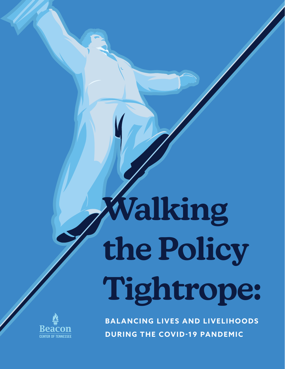# **Walking the Policy Tightrope:**



**BALANCING LIVES AND LIVELIHOODS DURING THE COVID-19 PANDEMIC**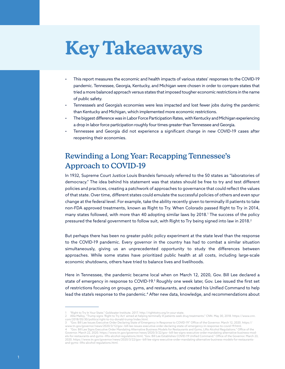# **Key Takeaways**

- This report measures the economic and health impacts of various states' responses to the COVID-19 pandemic. Tennessee, Georgia, Kentucky, and Michigan were chosen in order to compare states that tried a more balanced approach versus states that imposed tougher economic restrictions in the name of public safety.
- Tennessee's and Georgia's economies were less impacted and lost fewer jobs during the pandemic than Kentucky and Michigan, which implemented more economic restrictions.
- The biggest difference was in Labor Force Participation Rates, with Kentucky and Michigan experiencing a drop in labor force participation roughly four times greater than Tennessee and Georgia.
- Tennessee and Georgia did not experience a significant change in new COVID-19 cases after reopening their economies.

# Rewinding a Long Year: Recapping Tennessee's Approach to COVID-19

In 1932, Supreme Court Justice Louis Brandeis famously referred to the 50 states as "laboratories of democracy." The idea behind his statement was that states should be free to try and test different policies and practices, creating a patchwork of approaches to governance that could reflect the values of that state. Over time, different states could emulate the successful policies of others and even spur change at the federal level. For example, take the ability recently given to terminally ill patients to take non-FDA approved treatments, known as Right to Try. When Colorado passed Right to Try in 2014, many states followed, with more than 40 adopting similar laws by 2018.1 The success of the policy pressured the federal government to follow suit, with Right to Try being signed into law in 2018.<sup>2</sup>

But perhaps there has been no greater public policy experiment at the state level than the response to the COVID-19 pandemic. Every governor in the country has had to combat a similar situation simultaneously, giving us an unprecedented opportunity to study the differences between approaches. While some states have prioritized public health at all costs, including large-scale economic shutdowns, others have tried to balance lives and livelihoods.

Here in Tennessee, the pandemic became local when on March 12, 2020, Gov. Bill Lee declared a state of emergency in response to COVID-19.<sup>3</sup> Roughly one week later, Gov. Lee issued the first set of restrictions focusing on groups, gyms, and restaurants, and created his Unified Command to help lead the state's response to the pandemic.4 After new data, knowledge, and recommendations about

<sup>1 &</sup>quot;Right to Try In Your State." Goldwater Institute. 2017. http://righttotry.org/in-your-state.

<sup>2</sup> Allie Malloy, "Trump signs 'Right to Try Act' aimed at helping terminally ill patients seek drug treatments." CNN. May 30, 2018. https://www.cnn. com/2018/05/30/politics/right-to-try-donald-trump/index.html. 3 "Gov. Bill Lee Issues Executive Order Declaring State of Emergency in Response to COVID-19." Office of the Governor. March 12, 2020. https://

www.tn.gov/governor/news/2020/3/12/gov--bill-lee-issues-executive-order-declaring-state-of-emergency-in-response-to-covid-19.html. 4 "Gov. Bill Lee Signs Executive Order Mandating Alternative Business Models for Restaurants and Gyms, Lifts Alcohol Regulations." Office of the Governor. March 22, 2020. https://www.tn.gov/governor/news/2020/3/22/gov--bill-lee-signs-executive-order-mandating-alternative-business-mod-<br>[els-for-restaurants-and-gyms--lifts-alcohol-regulations.html](https://www.tn.gov/governor/news/2020/3/22/gov--bill-lee-signs-executive-order-mandating-alternative-business-models-for-restaurants-and-gyms--lifts-alcohol-regulations.html); "Gov. Bill Lee Esta 2020. https://www.tn.gov/governor/news/2020/3/22/gov--bill-lee-signs-executive-order-mandating-alternative-business-models-for-restaurantsand-gyms--lifts-alcohol-regulations.html.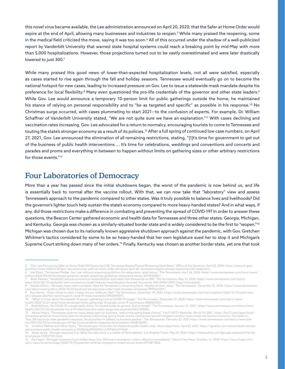this novel virus became available, the Lee administration announced on April 20, 2020, that the Safer at Home Order would expire at the end of April, allowing many businesses and industries to reopen.5 While many praised the reopening, some in the medical field criticized the move, saying it was too soon.6 All of this occurred under the shadow of a well-publicized report by Vanderbilt University that warned state hospital systems could reach a breaking point by mid-May with more than 5,000 hospitalizations. However, those projections turned out to be vastly overestimated and were later drastically lowered to just 300.7

While many praised this good news of lower-than-expected hospitalization levels, not all were satisfied, especially as cases started to rise again through the fall and holiday seasons. Tennessee would eventually go on to become the national hotspot for new cases, leading to increased pressure on Gov. Lee to issue a statewide mask mandate despite his preference for local flexibility.<sup>8</sup> Many even questioned the pro-life credentials of the governor and other state leaders.<sup>9</sup> While Gov. Lee would announce a temporary 10-person limit for public gatherings outside the home, he maintained his stance of relying on personal responsibility and to "be as targeted and specific" as possible in his response.<sup>10</sup> No Christmas surge occurred, with cases plummeting to start 2021—to the confusion of experts. For example, Dr. William Schaffner of Vanderbilt University stated, "We are not quite sure we have an explanation."<sup>11</sup> With cases declining and vaccination rates increasing, Gov. Lee advocated for a return to normalcy, encouraging tourists to come to Tennessee and touting the state's stronger economy as a result of its policies.12 After a full spring of continued low case numbers, on April 27, 2021, Gov. Lee announced the elimination of all remaining restrictions, stating, "[I]t's time for government to get out of the business of public health interventions ... It's time for celebrations, weddings and conventions and concerts and parades and proms and everything in between to happen without limits on gathering sizes or other arbitrary restrictions for those events."13

#### Four Laboratories of Democracy

More than a year has passed since the initial shutdowns began, the worst of the pandemic is now behind us, and life is essentially back to normal after the vaccine rollout. With that, we can now take that "laboratory" view and assess Tennessee's approach to the pandemic compared to other states. Was it truly possible to balance lives and livelihoods? Did the governor's lighter touch help sustain the state's economy compared to more heavy-handed states? And in what ways, if any, did those restrictions make a difference in combating and preventing the spread of COVID-19? In order to answer these questions, the Beacon Center gathered economic and health data for Tennessee and three other states: Georgia, Michigan, and Kentucky. Georgia was chosen as a similarly-situated border state and is widely considered to be the first to "reopen."14 Michigan was chosen due to its nationally known aggressive shutdown approach against the pandemic, with Gov. Gretchen Whitmer's tactics considered by some to be so heavy-handed that her own legislature sued her to stop it and Michigan's Supreme Court striking down many of her orders.15 Finally, Kentucky was chosen as another border state, yet one that took

<sup>5 &</sup>quot;Gov. Lee Announces Safer at Home Order Will Expire April 30, Tennessee Begins Phased Reopening Next Week." Office of the Governor. April 20, 2020. https://www.tn.gov/ governor/news/2020/4/20/gov--lee-announces-safer-at-home-order-will-expire-april-30--tennessee-begins-phased-reopening-next-week.html.<br>6 Joel Ebert, "Tennessee Pledge: Gov. Lee rolls out reopening guidelines for restauran

[politics/2020/04/24/tennessee-governor-reveals-reopening-guidelines-restaurants-stores/3019032001/](https://www.tennessean.com/story/news/politics/2020/04/24/tennessee-governor-reveals-reopening-guidelines-restaurants-stores/3019032001/).

<sup>7</sup> Brett Kelman, "Vanderbilt reduces coronavirus hospitalization estimates from thousands to 300." *The Tennessean*. May 13, 2020. https://www.tennessean.com/story/ news/2020/05/13/vanderbilt-new-coronavirus-model-reduces-hospitalization-forecast-thousands-300/3095013001/?csp=chromepush.

<sup>8</sup> Natalie Allison, "38 states have mask mandates. Hard-hit Tennessee is not among them, despite doctors' pleas." The Tennessean. December 21, 2020. [https://www.tennessean.](https://www.tennessean.com/story/news/politics/2020/12/22/governor-lee-executive-order-mask-mandate-tennessee/3997621001/)<br>com/story/news/politics/2020/12/22/governor-lee

<sup>9</sup> Roy Herron, "If you refuse to wear a mask, are you really pro-life?" *The Tennessean*. December 19, 2020. https://www.tennessean.com/story/opinion/2020/12/19/politicianswho-oppose-abortion-wont-support-covid-19-mask-mandates/3966944001.<br>10 "What to know about Tennessee's 10-person gathering limit as COVID-19 surges." The Tennessean. December 21, 2020. https://www.tennessean.com/story/new

health/2020/12/21/what-know-tennessee-limits-gatherings-10-people-covid-19-restrictions/3989601001.

<sup>11</sup> Brett Kelman, "As COVID-19 unexpectedly slows, Tennessee holds its ground. And its breath." *The Tennessean*. January 21, 2021. https://www.tennessean.com/story/news/ health/2021/01/22/tennessee-covid-19-infections-slow-when-surge-was-expected/4221209001.

<sup>12</sup> Adrian Mojica, "Tennessee governor touts being open for business, 'welcoming spring break visitors'." Fox17 WZTV Nashville. March 10, 2021. [https://fox17.com/news/local/](https://fox17.com/news/local/tennessee-governor-touts-being-open-for-business-welcoming-spring-break-visitors-coronavirus-spread-mitigation-politics-news-travel-trip-tourism-economy) [tennessee-governor-touts-being-open-for-business-welcoming-spring-break-visitors-coronavirus-spread-mitigation-politics-news-travel-trip-tourism-economy](https://fox17.com/news/local/tennessee-governor-touts-being-open-for-business-welcoming-spring-break-visitors-coronavirus-spread-mitigation-politics-news-travel-trip-tourism-economy); Yue Stella Yu, "Gov. Bill Lee touts state pandemic response, fiscal position in address to business leaders." *The Tennessean*. February 23, 2021 https://www.tennessean.com/story/news/politics/2021/02/23/tennessee-gov-bill-lee-touts-pandemic-response-fiscal-position/4548106001.

<sup>13</sup> Jonathan Mattise and Adrian Sainz, "Tennessee gov: Virus now not statewide public health crisis." Associated Press. April 27, 2021. https://apnews.com/article/health-tennessee-business-public-health-coronavirus-9542bdaaf954d0b7cc2749de5c0147d4.

<sup>14</sup> Jenny Jarvie, "Georgia reopened first. What the data show is a matter of fierce debate." *Los Angeles Times*. May 23, 2020. https://news.yahoo.com/georgia-reopened-first-data-whatever-110037741.html.

<sup>15</sup> Paul Egan, "Michigan Supreme Court strikes down Gov. Whitmer's emergency orders, effective immediately." *Detroit Free Press*. October, 12, 2020. https://www.freep.com/ story/news/local/michigan/2020/10/12/gretchen-whitmer-emergency-orders-struck-down/5970811002.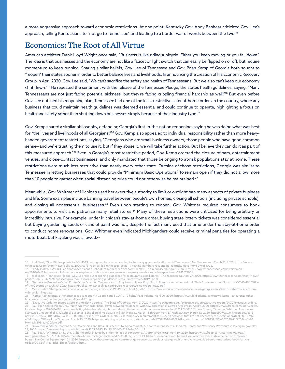a more aggressive approach toward economic restrictions. At one point, Kentucky Gov. Andy Beshear criticized Gov. Lee's approach, telling Kentuckians to "not go to Tennessee" and leading to a border war of words between the two.16

# Economics: The Root of All Virtue

American architect Frank Lloyd Wright once said, "Business is like riding a bicycle. Either you keep moving or you fall down." The idea is that businesses and the economy are not like a faucet or light switch that can easily be flipped on or off, but require momentum to keep running. Sharing similar beliefs, Gov. Lee of Tennessee and Gov. Brian Kemp of Georgia both sought to "reopen" their states sooner in order to better balance lives and livelihoods. In announcing the creation of his Economic Recovery Group in April 2020, Gov. Lee said, "We can't sacrifice the safety and health of Tennesseans. But we also can't keep our economy shut down."17 He repeated the sentiment with the release of the Tennessee Pledge, the state's health guidelines, saying, "Many Tennesseans are not just facing potential sickness, but they're facing crippling financial hardship as well."<sup>18</sup> But even before Gov. Lee outlined his reopening plan, Tennessee had one of the least restrictive safer-at-home orders in the country, where any business that could maintain health guidelines was deemed essential and could continue to operate, highlighting a focus on health and safety rather than shutting down businesses simply because of their industry type.<sup>19</sup>

Gov. Kemp shared a similar philosophy, defending Georgia's first-in-the-nation reopening, saying he was doing what was best for "the lives and livelihoods of all Georgians."<sup>20</sup> Gov. Kemp also appealed to individual responsibility rather than more heavyhanded government restrictions, saying, "Georgians who are small business owners, those people who have good common sense—and we're trusting them to use it, but if they abuse it, we will take further action. But I believe they can do it as part of this measured approach."21 Even in Georgia's most restrictive period, Gov. Kemp ordered the closure of bars, entertainment venues, and close-contact businesses, and only mandated that those belonging to at-risk populations stay at home. These restrictions were much less restrictive than nearly every other state. Outside of those restrictions, Georgia was similar to Tennessee in letting businesses that could provide "Minimum Basic Operations" to remain open if they did not allow more than 10 people to gather when social-distancing rules could not otherwise be maintained.<sup>22</sup>

Meanwhile, Gov. Whitmer of Michigan used her executive authority to limit or outright ban many aspects of private business and life. Some examples include banning travel between people's own homes, closing all schools (including private schools), and closing all nonessential businesses.<sup>23</sup> Even upon starting to reopen, Gov. Whitmer required consumers to book appointments to visit and patronize many retail stores.<sup>24</sup> Many of these restrictions were criticized for being arbitrary or incredibly intrusive. For example, under Michigan's stay-at-home order, buying state lottery tickets was considered essential but buying gardening seeds or cans of paint was not, despite the fact many used that time under the stay-at-home order to conduct home renovations. Gov. Whitmer even indicated Michiganders could receive criminal penalties for operating a motorboat, but kayaking was allowed.25

20 Molly Curley, "Kemp defends decision on reopening economy." WSAV.com. April 27, 2020. https://www.wsav.com/news/local-news/georgia-news/kemp-state-officials-to-provide-covid-19-update.

<sup>16</sup> Joel Ebert, "Gov. Bill Lee points to COVID-19 testing numbers in responding to Kentucky governor's call to avoid Tennessee." *The Tennessean*. March 31, 2020. https://www. tennessean.com/story/news/politics/2020/03/31/gov-bill-lee-tennessee-covid-19-testing-numbers-responding-kentucky-governor/5099151002.

<sup>17</sup> Sandy Mazza, "Gov. Bill Lee announces planned 'reboot' of Tennessee's economy in May." *The Tennessean*. April 13, 2020. https://www.tennessean.com/story/mon-

ey/2020/04/13/governor-bill-lee-announces-planned-reboot-tennessees-economy-may-amid-coronavirus-pandemic/2985671001. 18 Joel Ebert, "Tennessee Pledge: Gov. Lee rolls out reopening guidelines for restaurants, retail stores." *The Tennessean*. April 27, 2020. https://www.tennessean.com/story/news/ politics/2020/04/24/tennessee-governor-reveals-reopening-guidelines-restaurants-stores/3019032001.

<sup>19 &</sup>quot;Tennessee Executive Order 22: An Order Directing Tennesseans to Stay Home Unless Engaging in Essential Activities to Limit Their Exposure to and Spread of COVID-19." Office of the Governor. March 30, 2020. https://publications.tnsosfiles.com/pub/execorders/exec-orders-lee22.pdf.

<sup>21 &</sup>quot;Kemp: Restaurants, other businesses to reopen in Georgia amid COVID-19 fight." Fox5 Atlanta. April 20, 2020. [https://www.fox5atlanta.com/news/kemp-restaurants-other](https://www.fox5atlanta.com/news/kemp-restaurants-other-businesses-to-reopen-in-georgia-amid-covid-19-fight)[businesses-to-reopen-in-georgia-amid-covid-19-fight](https://www.fox5atlanta.com/news/kemp-restaurants-other-businesses-to-reopen-in-georgia-amid-covid-19-fight).

<sup>22 &</sup>quot;Executive Order to Ensure a Safe and Healthy Georgia." The State of Georgia. April 2, 2020. https://gov.georgia.gov/executive-action/executive-orders/2020-executive-orders. 23 Paul Egan and Kathleen Gray, "New Whitmer order bans 'travel between residences' with few exceptions." *Detroit Free Press*. April 9, 2020. [https://www.freep.com/story/news/](https://www.freep.com/story/news/local/michigan/2020/04/09/no-more-visiting-friends-and-neighbors-under-whitmers-expanded-coronavirus-order/5125426002/) [local/michigan/2020/04/09/no-more-visiting-friends-and-neighbors-under-whitmers-expanded-coronavirus-order/5125426002/](https://www.freep.com/story/news/local/michigan/2020/04/09/no-more-visiting-friends-and-neighbors-under-whitmers-expanded-coronavirus-order/5125426002/); Tiffany Brown, "Governor Whitmer Announces Statewide Closure of all K-12 School Buildings; School building closure will last Monday, March 16 through April 5." Michigan.gov. March 12, 2020. https://www.michigan.gov/coro-<br>[navirus/0,9753,7-406-98163-521561--,00.html](https://www.michigan.gov/coronavirus/0,9753,7-406-98163-521561--,00.html); of Michigan Office of the Governor. March 23, 2020. [https://content.govdelivery.com/attachments/MIEOG/2020/03/23/file\\_attachments/1408152/EO%202020-21%20Stay%20](https://content.govdelivery.com/attachments/MIEOG/2020/03/23/file_attachments/1408152/EO%202020-21%20Stay%20Home,%20Stay%20Safe.pdf) [Home,%20Stay%20Safe.pdf.](https://content.govdelivery.com/attachments/MIEOG/2020/03/23/file_attachments/1408152/EO%202020-21%20Stay%20Home,%20Stay%20Safe.pdf)<br>24 "Governor Whitmer Reo

<sup>24 &</sup>quot;Governor Whitmer Reopens Auto Dealerships and Retail Businesses by Appointment, Authorizes Nonessential Medical, Dental and Veterinary Procedures." Michigan.gov. May 21, 2020. https://www.michigan.gov/whitmer/0,9309,7-387-90499\_90640-529861--,00.html.

<sup>25</sup> Paul Egan, "Whitmer's new stay at home order blasted by critics for lack of consistency." *Detroit Free Press*. April 10, 2020. [https://www.freep.com/story/news/local/](https://www.freep.com/story/news/local/michigan/detroit/2020/04/10/whitmer-stay-home-michigan-lottery/5129316002/) [michigan/detroit/2020/04/10/whitmer-stay-home-michigan-lottery/5129316002/](https://www.freep.com/story/news/local/michigan/detroit/2020/04/10/whitmer-stay-home-michigan-lottery/5129316002/); Scott McClallen, "Conservation clubs sue Gov. Whitmer over statewide ban on motorized boats." The Center Square. April 21, 2020. https://www.thecentersquare.com/michigan/conservation-clubs-sue-gov-whitmer-over-statewide-ban-on-motorized-boats/article\_ 05da5900-83cf-11ea-8dc5-6bea6f96dc42.html.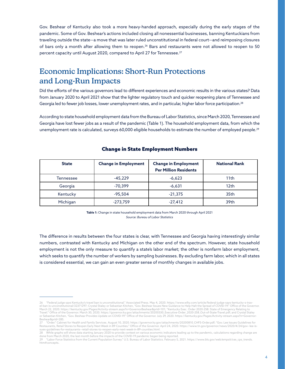Gov. Beshear of Kentucky also took a more heavy-handed approach, especially during the early stages of the pandemic. Some of Gov. Beshear's actions included closing all nonessential businesses, banning Kentuckians from traveling outside the state—a move that was later ruled unconstitutional in federal court—and reimposing closures of bars only a month after allowing them to reopen.<sup>26</sup> Bars and restaurants were not allowed to reopen to 50 percent capacity until August 2020, compared to April 27 for Tennessee.<sup>27</sup>

# Economic Implications: Short-Run Protections and Long-Run Impacts

Did the efforts of the various governors lead to different experiences and economic results in the various states? Data from January 2020 to April 2021 show that the lighter regulatory touch and quicker reopening plans of Tennessee and Georgia led to fewer job losses, lower unemployment rates, and in particular, higher labor force participation.<sup>28</sup>

According to state household employment data from the Bureau of Labor Statistics, since March 2020, Tennessee and Georgia have lost fewer jobs as a result of the pandemic (Table 1). The household employment data, from which the unemployment rate is calculated, surveys 60,000 eligible households to estimate the number of employed people.<sup>29</sup>

| <b>State</b> | <b>Change in Employment</b> | <b>Change in Employment</b>  | <b>National Rank</b> |
|--------------|-----------------------------|------------------------------|----------------------|
|              |                             | <b>Per Million Residents</b> |                      |
| Tennessee    | $-45.229$                   | $-6,623$                     | 11th                 |
| Georgia      | $-70.399$                   | $-6,631$                     | 12 <sub>th</sub>     |
| Kentucky     | $-95,504$                   | $-21,375$                    | 35th                 |
| Michigan     | $-273,759$                  | $-27,412$                    | 39th                 |

#### Change in State Employment Numbers

**Table 1:** Change in state household employment data from March 2020 through April 2021 *Source: Bureau of Labor Statistics*

The difference in results between the four states is clear, with Tennessee and Georgia having interestingly similar numbers, contrasted with Kentucky and Michigan on the other end of the spectrum. However, state household employment is not the only measure to quantify a state's labor market; the other is nonfarm labor employment, which seeks to quantify the number of workers by sampling businesses. By excluding farm labor, which in all states is considered essential, we can gain an even greater sense of monthly changes in available jobs.

<sup>26 &</sup>quot;Federal judge says Kentucky's travel ban is unconstitutional." Associated Press. May 4, 2020. https://www.wlky.com/article/federal-judge-says-kentucky-s-travel-ban-is-unconstitutional/32371297; Crystal Staley or Sebastian Kitchen, "Gov. Beshear Issues New Guidance to Help Halt the Spread of COVID-19." Office of the Governor. March 22, 2020. [https://kentucky.gov/Pages/Activity-stream.aspx?n=GovernorBeshear&prId=101;](https://kentucky.gov/Pages/Activity-stream.aspx?n=GovernorBeshear&prId=101) "Kentucky Exec. Order 2020-258: State of Emergency Relating to<br>Travel." Office of the Governor. March 30, 2020. https://governor.k Beshear&prId=285.

<sup>27 &</sup>quot;Order." Cabinet for Health and Family Services. August 10, 2020. [https://governor.ky.gov/attachments/20200810\\_CHFS-Order.pdf](https://governor.ky.gov/attachments/20200810_CHFS-Order.pdf); "Gov. Lee Issues Guidelines for Restaurants, Retail Stores to Reopen Early Next Week in 89 Counties." Office of the Governor. April 24, 2020. https://www.tn.gov/governor/news/2020/4/24/gov--lee-issues-guidelines-for-restaurants--retail-stores-to-reopen-early-next-week-in-89-counties.html.

<sup>28</sup> While graphs will show data starting January 2020 to provide context on various economic indicators leading up to the pandemic, calculations regarding change are

done from March 2020, the last month before the impacts of the COVID-19 pandemic began being reported.<br>29 "Labor Force Statistics from the Current Population Survey." U.S. Bureau of Labor Statistics. February 5, 2021. htt htm#concepts.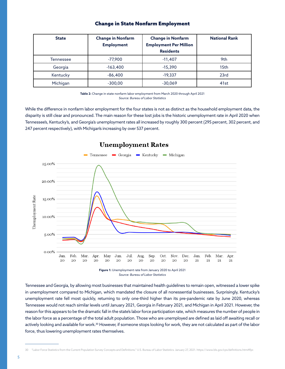#### Change in State Nonfarm Employment

| <b>State</b> | <b>Change in Nonfarm</b><br><b>Employment</b> | <b>Change in Nonfarm</b><br><b>Employment Per Million</b><br><b>Residents</b> | <b>National Rank</b> |
|--------------|-----------------------------------------------|-------------------------------------------------------------------------------|----------------------|
| Tennessee    | $-77,900$                                     | $-11,407$                                                                     | 9th                  |
| Georgia      | $-163,400$                                    | $-15,390$                                                                     | 15th                 |
| Kentucky     | $-86,400$                                     | $-19,337$                                                                     | 23rd                 |
| Michigan     | $-300,00$                                     | $-30,069$                                                                     | 41 <sub>st</sub>     |

**Table 2:** Change in state nonfarm labor employment from March 2020 through April 2021 *Source: Bureau of Labor Statistics*

While the difference in nonfarm labor employment for the four states is not as distinct as the household employment data, the disparity is still clear and pronounced. The main reason for these lost jobs is the historic unemployment rate in April 2020 when Tennessee's, Kentucky's, and Georgia's unemployment rates all increased by roughly 300 percent (295 percent, 302 percent, and 247 percent respectively), with Michigan's increasing by over 537 percent.



#### **Unemployment Rates**

**Figure 1:** Unemployment rate from January 2020 to April 2021 *Source: Bureau of Labor Statistics*

Tennessee and Georgia, by allowing most businesses that maintained health guidelines to remain open, witnessed a lower spike in unemployment compared to Michigan, which mandated the closure of all nonessential businesses. Surprisingly, Kentucky's unemployment rate fell most quickly, returning to only one-third higher than its pre-pandemic rate by June 2020, whereas Tennessee would not reach similar levels until January 2021, Georgia in February 2021, and Michigan in April 2021. However, the reason for this appears to be the dramatic fall in the state's labor force participation rate, which measures the number of people in the labor force as a percentage of the total adult population. Those who are unemployed are defined as laid off awaiting recall or actively looking and available for work.<sup>30</sup> However, if someone stops looking for work, they are not calculated as part of the labor force, thus lowering unemployment rates themselves.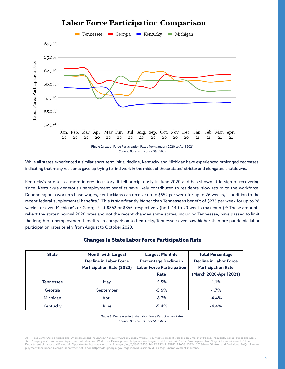

# **Labor Force Participation Comparison**

While all states experienced a similar short-term initial decline, Kentucky and Michigan have experienced prolonged decreases, indicating that many residents gave up trying to find work in the midst of those states' stricter and elongated shutdowns.

Kentucky's rate tells a more interesting story. It fell precipitously in June 2020 and has shown little sign of recovering since. Kentucky's generous unemployment benefits have likely contributed to residents' slow return to the workforce. Depending on a worker's base wages, Kentuckians can receive up to \$552 per week for up to 26 weeks, in addition to the recent federal supplemental benefits.31 This is significantly higher than Tennessee's benefit of \$275 per week for up to 26 weeks, or even Michigan's or Georgia's at \$362 or \$365, respectively (both 14 to 20 weeks maximum).32 These amounts reflect the states' normal 2020 rates and not the recent changes some states, including Tennessee, have passed to limit the length of unemployment benefits. In comparison to Kentucky, Tennessee even saw higher than pre-pandemic labor participation rates briefly from August to October 2020.

| <b>State</b>     | <b>Month with Largest</b><br><b>Decline in Labor Force</b><br><b>Participation Rate (2020)</b> | <b>Largest Monthly</b><br><b>Percentage Decline in</b><br><b>Labor Force Participation</b><br>Rate | <b>Total Percentage</b><br><b>Decline in Labor Force</b><br><b>Participation Rate</b><br>(March 2020-April 2021) |
|------------------|------------------------------------------------------------------------------------------------|----------------------------------------------------------------------------------------------------|------------------------------------------------------------------------------------------------------------------|
| <b>Tennessee</b> | May                                                                                            | $-5.5%$                                                                                            | $-1.1%$                                                                                                          |
| Georgia          | September                                                                                      | $-5.6%$                                                                                            | $-1.7%$                                                                                                          |
| Michigan         | April                                                                                          | $-6.7\%$                                                                                           | $-4.4%$                                                                                                          |
| Kentucky         | June                                                                                           | $-5.4%$                                                                                            | $-4.4%$                                                                                                          |

#### Changes in State Labor Force Participation Rate

**Table 3:** Decreases in State Labor Force Participation Rates *Source: Bureau of Labor Statistics*

<sup>31 &</sup>quot;Frequently Asked Questions: Unemployment Insurance." Kentucky Career Center. https://kcc.ky.gov/career/If-you-are-an-Employer/Pages/Frequently-asked-questions.aspx. 32 "Employees." Tennessee Department of Labor and Workforce Development. <https://www.tn.gov/workforce/covid-19/faq/employees.html>; "Eligibility Requirements." The<br>Department of Labor and Economic Opportunity. https://www.m ployment Insurance." Georgia Department of Labor. https://dol.georgia.gov/faqs-individuals/individuals-faqs-unemployment-insurance.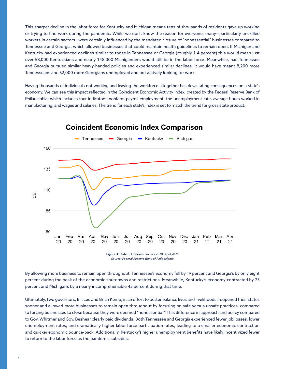This sharper decline in the labor force for Kentucky and Michigan means tens of thousands of residents gave up working or trying to find work during the pandemic. While we don't know the reason for everyone, many—particularly unskilled workers in certain sectors—were certainly influenced by the mandated closure of "nonessential" businesses compared to Tennessee and Georgia, which allowed businesses that could maintain health guidelines to remain open. If Michigan and Kentucky had experienced declines similar to those in Tennessee or Georgia (roughly 1.4 percent) this would mean just over 58,000 Kentuckians and nearly 148,000 Michiganders would still be in the labor force. Meanwhile, had Tennessee and Georgia pursued similar heavy-handed policies and experienced similar declines, it would have meant 8,200 more Tennesseans and 52,000 more Georgians unemployed and not actively looking for work.

Having thousands of individuals not working and leaving the workforce altogether has devastating consequences on a state's economy. We can see this impact reflected in the Coincident Economic Activity Index, created by the Federal Reserve Bank of Philadelphia, which includes four indicators: nonfarm payroll employment, the unemployment rate, average hours worked in manufacturing, and wages and salaries. The trend for each state's index is set to match the trend for gross state product.



### **Coincident Economic Index Comparison**

**Figure 3:** State CEI Indexes January 2020–April 2021 *Source: Federal Reserve Bank of Philadelphia*

By allowing more business to remain open throughout, Tennessee's economy fell by 19 percent and Georgia's by only eight percent during the peak of the economic shutdowns and restrictions. Meanwhile, Kentucky's economy contracted by 25 percent and Michigan's by a nearly incomprehensible 45 percent during that time.

Ultimately, two governors, Bill Lee and Brian Kemp, in an effort to better balance lives and livelihoods, reopened their states sooner and allowed more businesses to remain open throughout by focusing on safe versus unsafe practices, compared to forcing businesses to close because they were deemed "nonessential." This difference in approach and policy compared to Gov. Whitmer and Gov. Beshear clearly paid dividends. Both Tennessee and Georgia experienced fewer job losses, lower unemployment rates, and dramatically higher labor force participation rates, leading to a smaller economic contraction and quicker economic bounce-back. Additionally, Kentucky's higher unemployment benefits have likely incentivized fewer to return to the labor force as the pandemic subsides.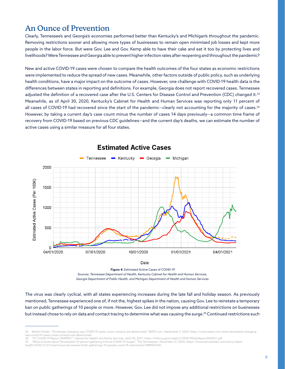# An Ounce of Prevention

Clearly, Tennessee's and Georgia's economies performed better than Kentucky's and Michigan's throughout the pandemic. Removing restrictions sooner and allowing more types of businesses to remain open minimized job losses and kept more people in the labor force. But were Gov. Lee and Gov. Kemp able to have their cake and eat it too by protecting lives and livelihoods? Were Tennessee and Georgia able to prevent higher infection rates after reopening and throughout the pandemic?

New and active COVID-19 cases were chosen to compare the health outcomes of the four states as economic restrictions were implemented to reduce the spread of new cases. Meanwhile, other factors outside of public policy, such as underlying health conditions, have a major impact on the outcome of cases. However, one challenge with COVID-19 health data is the differences between states in reporting and definitions. For example, Georgia does not report recovered cases. Tennessee adjusted the definition of a recovered case after the U.S. Centers for Disease Control and Prevention (CDC) changed it.<sup>33</sup> Meanwhile, as of April 30, 2020, Kentucky's Cabinet for Health and Human Services was reporting only 11 percent of all cases of COVID-19 had recovered since the start of the pandemic—clearly not accounting for the majority of cases.<sup>34</sup> However, by taking a current day's case count minus the number of cases 14 days previously—a common time frame of recovery from COVID-19 based on previous CDC guidelines—and the current day's deaths, we can estimate the number of active cases using a similar measure for all four states.



#### **Estimated Active Cases**

**Figure 4:** Estimated Active Cases of COVID-19 *Sources: Tennessee Department of Health, Kentucky Cabinet for Health and Human Services, Georgia Department of Public Health, and Michigan Department of Health and Human Services*

The virus was clearly cyclical, with all states experiencing increases during the late fall and holiday season. As previously mentioned, Tennessee experienced one of, if not the, highest spikes in the nation, causing Gov. Lee to reinstate a temporary ban on public gatherings of 10 people or more. However, Gov. Lee did not impose any additional restrictions on businesses but instead chose to rely on data and contact tracing to determine what was causing the surge.<sup>35</sup> Continued restrictions such

34 "KY COVID-19 Report 30APR21." Cabinet for Health and Family Services. April 30, 2021. https://chfs.ky.gov/cvdaily/COVID19DailyReport043021.pdf.

<sup>33</sup> Robert Holder, "Tennessee changing way COVID-19 cases, close contacts are determined." WATE.com. September 3, 2020. https://www.wate.com/news/tennessee-changingway-covid-19-cases-close-contacts-are-determined.

<sup>35 &</sup>quot;What to know about Tennessee's 10-person gathering limit as COVID-19 surges." *The Tennessean*. December 21, 2020. https://www.tennessean.com/story/news/

health/2020/12/21/what-know-tennessee-limits-gatherings-10-people-covid-19-restrictions/3989601001.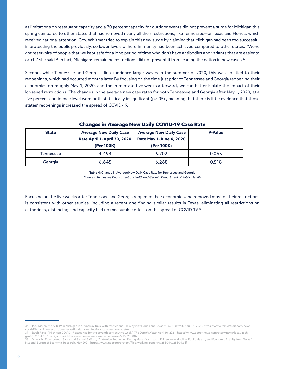as limitations on restaurant capacity and a 20 percent capacity for outdoor events did not prevent a surge for Michigan this spring compared to other states that had removed nearly all their restrictions, like Tennessee—or Texas and Florida, which received national attention. Gov. Whitmer tried to explain this new surge by claiming that Michigan had been *too* successful in protecting the public previously, so lower levels of herd immunity had been achieved compared to other states. "We've got reservoirs of people that we kept safe for a long period of time who don't have antibodies and variants that are easier to catch," she said.<sup>36</sup> In fact, Michigan's remaining restrictions did not prevent it from leading the nation in new cases.<sup>37</sup>

Second, while Tennessee and Georgia did experience larger waves in the summer of 2020, this was not tied to their reopenings, which had occurred months later. By focusing on the time just prior to Tennessee and Georgia reopening their economies on roughly May 1, 2020, and the immediate five weeks afterward, we can better isolate the impact of their loosened restrictions. The changes in the average new case rates for both Tennessee and Georgia after May 1, 2020, at a five percent confidence level were both statistically insignificant ( $p \ge 05$ ), meaning that there is little evidence that those states' reopenings increased the spread of COVID-19.

| <b>State</b> | <b>Average New Daily Case</b><br>Rate April 1-April 30, 2020<br>(Per 100K) | <b>Average New Daily Case</b><br><b>Rate May 1-June 4, 2020</b><br>(Per 100K) | <b>P-Value</b> |
|--------------|----------------------------------------------------------------------------|-------------------------------------------------------------------------------|----------------|
| Tennessee    | 4.494                                                                      | 5.702                                                                         | 0.065          |
| Georgia      | 6.645                                                                      | 6.268                                                                         | 0.518          |

#### Changes in Average New Daily COVID-19 Case Rate

**Table 4:** Change in Average New Daily Case Rate for Tennessee and Georgia *Sources: Tennessee Department of Health and Georgia Department of Public Health*

Focusing on the five weeks after Tennessee and Georgia reopened their economies and removed most of their restrictions is consistent with other studies, including a recent one finding similar results in Texas: eliminating all restrictions on gatherings, distancing, and capacity had no measurable effect on the spread of COVID-19.38

<sup>36</sup> Jack Nissen, "COVID-19 in Michigan is a 'runaway train' with restrictions—so why isn't Florida and Texas?" Fox 2 Detroit. April 16, 2020. [https://www.fox2detroit.com/news/](https://www.fox2detroit.com/news/covid-19-michigan-restrictions-texas-florida-new-infections-cases-schools-detroit) [covid-19-michigan-restrictions-texas-florida-new-infections-cases-schools-detroit.](https://www.fox2detroit.com/news/covid-19-michigan-restrictions-texas-florida-new-infections-cases-schools-detroit)

<sup>37</sup> Sarah Rahal, "Michigan COVID-19 cases rise for the seventh consecutive week." *The Detroit News*. April 10, 2021. https://www.detroitnews.com/story/news/local/michigan/2021/04/10/michigan-covid-19-cases-rise-for-the-seventh-consecutive-weeks/7160908002.<br>gan/2021/04/10/michigan-covid-19-cases-rise-seven-consecutive-weeks/7160908002.<br>38 Dhaval M. Dave Joseph Sobia and Carrier of Cases

<sup>38</sup> Dhaval M. Dave, Joseph Sabia, and Samuel Safford, "Statewide Reopening During Mass Vaccination: Evidence on Mobility, Public Health, and Economic Activity from Texas." National Bureau of Economic Research. May 2021. https://www.nber.org/system/files/working\_papers/w28804/w28804.pdf.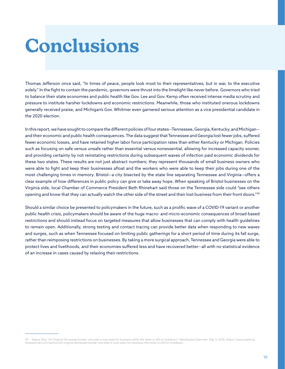# **Conclusions**

Thomas Jefferson once said, "In times of peace, people look most to their representatives; but in war, to the executive solely." In the fight to contain the pandemic, governors were thrust into the limelight like never before. Governors who tried to balance their state economies and public health like Gov. Lee and Gov. Kemp often received intense media scrutiny and pressure to institute harsher lockdowns and economic restrictions. Meanwhile, those who instituted onerous lockdowns generally received praise, and Michigan's Gov. Whitmer even garnered serious attention as a vice presidential candidate in the 2020 election.

In this report, we have sought to compare the different policies of four states—Tennessee, Georgia, Kentucky, and Michigan and their economic and public health consequences. The data suggest that Tennessee and Georgia lost fewer jobs, suffered fewer economic losses, and have retained higher labor force participation rates than either Kentucky or Michigan. Policies such as focusing on safe versus unsafe rather than essential versus nonessential, allowing for increased capacity sooner, and providing certainty by not reinstating restrictions during subsequent waves of infection paid economic dividends for these two states. These results are not just abstract numbers; they represent thousands of small business owners who were able to fight and keep their businesses afloat and the workers who were able to keep their jobs during one of the most challenging times in memory. Bristol—a city bisected by the state line separating Tennessee and Virginia—offers a clear example of how differences in public policy can give or take away hope. When speaking of Bristol businesses on the Virginia side, local Chamber of Commerce President Beth Rhinehart said those on the Tennessee side could "see others opening and know that they can actually watch the other side of the street and their lost business from their front doors."<sup>39</sup>

Should a similar choice be presented to policymakers in the future, such as a prolific wave of a COVID-19 variant or another public health crisis, policymakers should be aware of the huge macro- and micro-economic consequences of broad-based restrictions and should instead focus on targeted measures that allow businesses that can comply with health guidelines to remain open. Additionally, strong testing and contact tracing can provide better data when responding to new waves and surges, such as when Tennessee focused on limiting public gatherings for a short period of time during its fall surge, rather than reimposing restrictions on businesses. By taking a more surgical approach, Tennessee and Georgia were able to protect lives and livelihoods, and their economies suffered less and have recovered better—all with no statistical evidence of an increase in cases caused by relaxing their restrictions.

<sup>39</sup> Salena Zito, "On Virginia-Tennessee border, one side is now open for business while the other is still on lockdown." *Washington Examiner*. May 3, 2020. https://www.washingtonexaminer.com/opinion/on-virginia-tennessee-border-one-side-is-now-open-for-business-the-other-is-still-on-lockdown.